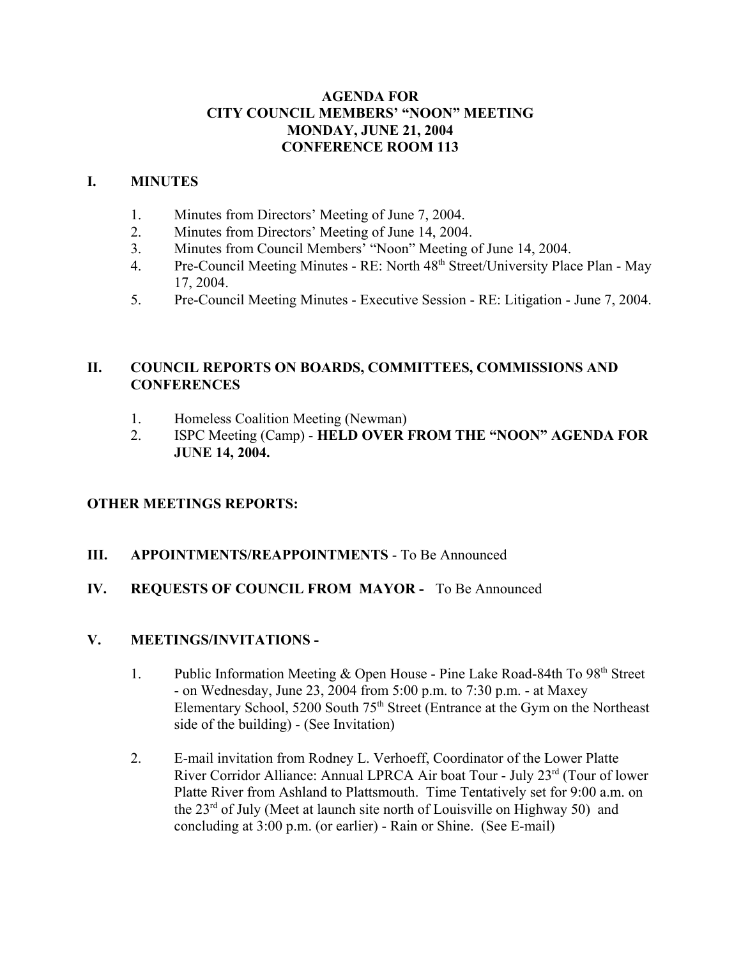### **AGENDA FOR CITY COUNCIL MEMBERS' "NOON" MEETING MONDAY, JUNE 21, 2004 CONFERENCE ROOM 113**

### **I. MINUTES**

- 1. Minutes from Directors' Meeting of June 7, 2004.
- 2. Minutes from Directors' Meeting of June 14, 2004.
- 3. Minutes from Council Members' "Noon" Meeting of June 14, 2004.
- 4. Pre-Council Meeting Minutes RE: North 48th Street/University Place Plan May 17, 2004.
- 5. Pre-Council Meeting Minutes Executive Session RE: Litigation June 7, 2004.

### **II. COUNCIL REPORTS ON BOARDS, COMMITTEES, COMMISSIONS AND CONFERENCES**

- 1. Homeless Coalition Meeting (Newman)
- 2. ISPC Meeting (Camp) **HELD OVER FROM THE "NOON" AGENDA FOR JUNE 14, 2004.**

### **OTHER MEETINGS REPORTS:**

### **III. APPOINTMENTS/REAPPOINTMENTS** - To Be Announced

### **IV. REQUESTS OF COUNCIL FROM MAYOR -** To Be Announced

## **V. MEETINGS/INVITATIONS -**

- 1. Public Information Meeting  $&$  Open House Pine Lake Road-84th To 98<sup>th</sup> Street - on Wednesday, June 23, 2004 from 5:00 p.m. to 7:30 p.m. - at Maxey Elementary School, 5200 South 75<sup>th</sup> Street (Entrance at the Gym on the Northeast side of the building) - (See Invitation)
- 2. E-mail invitation from Rodney L. Verhoeff, Coordinator of the Lower Platte River Corridor Alliance: Annual LPRCA Air boat Tour - July 23rd (Tour of lower Platte River from Ashland to Plattsmouth. Time Tentatively set for 9:00 a.m. on the 23<sup>rd</sup> of July (Meet at launch site north of Louisville on Highway 50) and concluding at 3:00 p.m. (or earlier) - Rain or Shine. (See E-mail)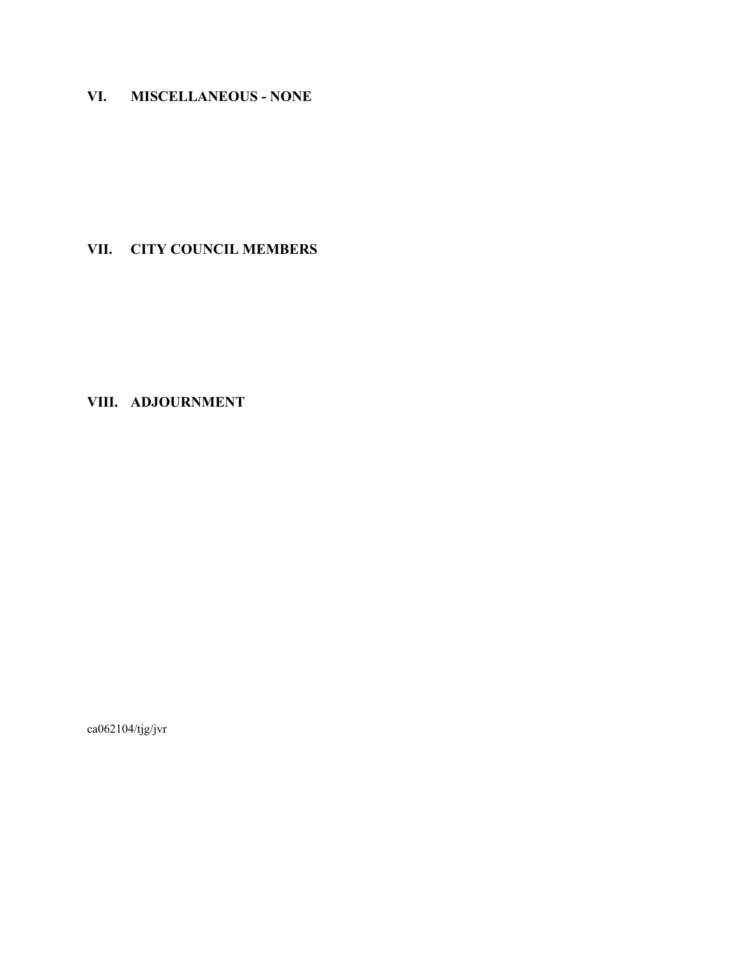# **VI. MISCELLANEOUS - NONE**

# **VII. CITY COUNCIL MEMBERS**

# **VIII. ADJOURNMENT**

ca062104/tjg/jvr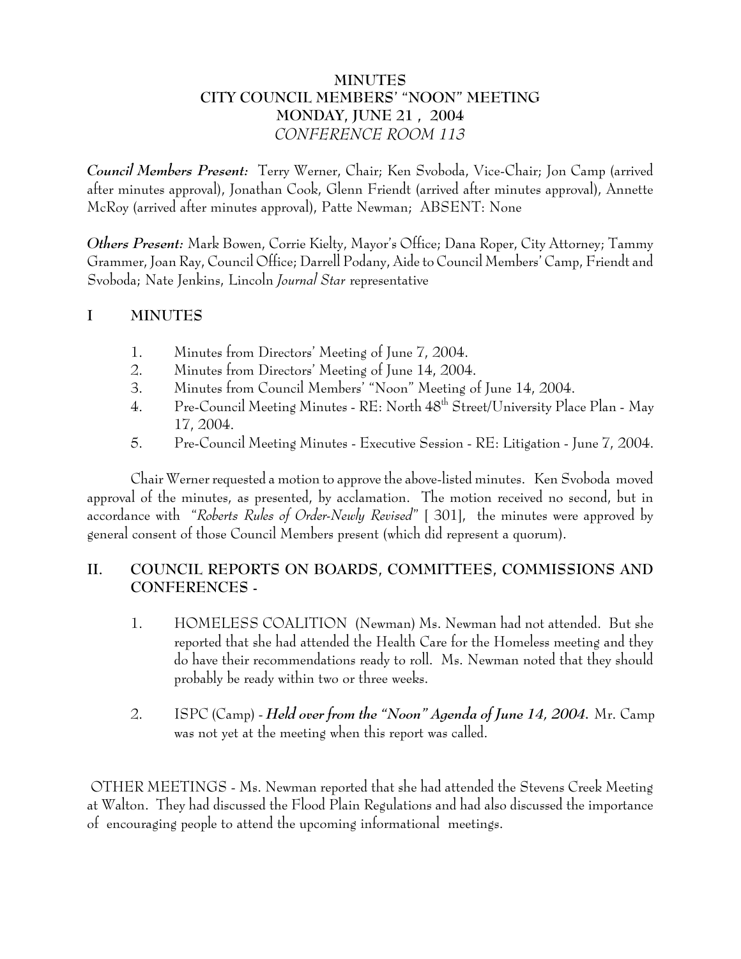## **MINUTES CITY COUNCIL MEMBERS' "NOON" MEETING MONDAY, JUNE 21 , 2004** *CONFERENCE ROOM 113*

*Council Members Present:* Terry Werner, Chair; Ken Svoboda, Vice-Chair; Jon Camp (arrived after minutes approval), Jonathan Cook, Glenn Friendt (arrived after minutes approval), Annette McRoy (arrived after minutes approval), Patte Newman; ABSENT: None

*Others Present:* Mark Bowen, Corrie Kielty, Mayor's Office; Dana Roper, City Attorney; Tammy Grammer, Joan Ray, Council Office; Darrell Podany, Aide to Council Members' Camp, Friendt and Svoboda; Nate Jenkins, Lincoln *Journal Star* representative

# **I MINUTES**

- 1. Minutes from Directors' Meeting of June 7, 2004.
- 2. Minutes from Directors' Meeting of June 14, 2004.
- 3. Minutes from Council Members' "Noon" Meeting of June 14, 2004.
- 4. Pre-Council Meeting Minutes RE: North  $48^{\text{th}}$  Street/University Place Plan May 17, 2004.
- 5. Pre-Council Meeting Minutes Executive Session RE: Litigation June 7, 2004.

Chair Werner requested a motion to approve the above-listed minutes. Ken Svoboda moved approval of the minutes, as presented, by acclamation. The motion received no second, but in accordance with "*Roberts Rules of Order-Newly Revised*" [ 301], the minutes were approved by general consent of those Council Members present (which did represent a quorum).

# **II. COUNCIL REPORTS ON BOARDS, COMMITTEES, COMMISSIONS AND CONFERENCES -**

- 1. HOMELESS COALITION (Newman) Ms. Newman had not attended. But she reported that she had attended the Health Care for the Homeless meeting and they do have their recommendations ready to roll. Ms. Newman noted that they should probably be ready within two or three weeks.
- 2. ISPC (Camp) *Held over from the "Noon" Agenda of June 14, 2004.* Mr. Camp was not yet at the meeting when this report was called.

 OTHER MEETINGS - Ms. Newman reported that she had attended the Stevens Creek Meeting at Walton. They had discussed the Flood Plain Regulations and had also discussed the importance of encouraging people to attend the upcoming informational meetings.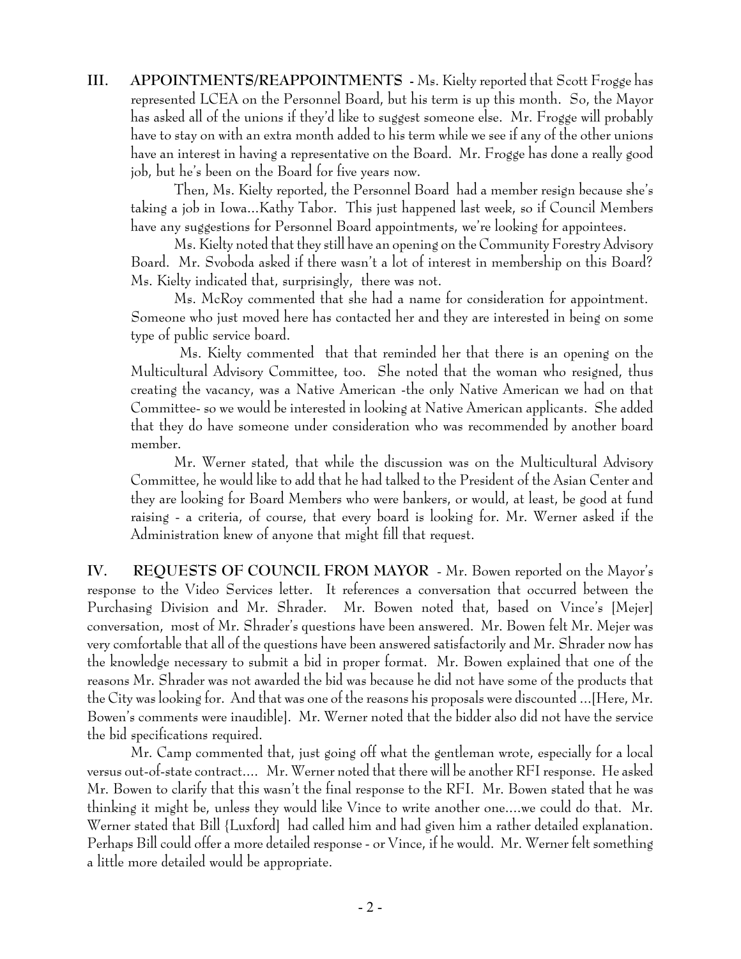**III. APPOINTMENTS/REAPPOINTMENTS -** Ms. Kielty reported that Scott Frogge has represented LCEA on the Personnel Board, but his term is up this month. So, the Mayor has asked all of the unions if they'd like to suggest someone else. Mr. Frogge will probably have to stay on with an extra month added to his term while we see if any of the other unions have an interest in having a representative on the Board. Mr. Frogge has done a really good job, but he's been on the Board for five years now.

Then, Ms. Kielty reported, the Personnel Board had a member resign because she's taking a job in Iowa...Kathy Tabor. This just happened last week, so if Council Members have any suggestions for Personnel Board appointments, we're looking for appointees.

Ms. Kielty noted that they still have an opening on the Community Forestry Advisory Board. Mr. Svoboda asked if there wasn't a lot of interest in membership on this Board? Ms. Kielty indicated that, surprisingly, there was not.

Ms. McRoy commented that she had a name for consideration for appointment. Someone who just moved here has contacted her and they are interested in being on some type of public service board.

 Ms. Kielty commented that that reminded her that there is an opening on the Multicultural Advisory Committee, too. She noted that the woman who resigned, thus creating the vacancy, was a Native American -the only Native American we had on that Committee- so we would be interested in looking at Native American applicants. She added that they do have someone under consideration who was recommended by another board member.

Mr. Werner stated, that while the discussion was on the Multicultural Advisory Committee, he would like to add that he had talked to the President of the Asian Center and they are looking for Board Members who were bankers, or would, at least, be good at fund raising - a criteria, of course, that every board is looking for. Mr. Werner asked if the Administration knew of anyone that might fill that request.

**IV. REQUESTS OF COUNCIL FROM MAYOR** - Mr. Bowen reported on the Mayor's response to the Video Services letter. It references a conversation that occurred between the Purchasing Division and Mr. Shrader. Mr. Bowen noted that, based on Vince's [Mejer] conversation, most of Mr. Shrader's questions have been answered. Mr. Bowen felt Mr. Mejer was very comfortable that all of the questions have been answered satisfactorily and Mr. Shrader now has the knowledge necessary to submit a bid in proper format. Mr. Bowen explained that one of the reasons Mr. Shrader was not awarded the bid was because he did not have some of the products that the City was looking for. And that was one of the reasons his proposals were discounted ...[Here, Mr. Bowen's comments were inaudible]. Mr. Werner noted that the bidder also did not have the service the bid specifications required.

Mr. Camp commented that, just going off what the gentleman wrote, especially for a local versus out-of-state contract.... Mr. Werner noted that there will be another RFI response. He asked Mr. Bowen to clarify that this wasn't the final response to the RFI. Mr. Bowen stated that he was thinking it might be, unless they would like Vince to write another one....we could do that. Mr. Werner stated that Bill {Luxford] had called him and had given him a rather detailed explanation. Perhaps Bill could offer a more detailed response - or Vince, if he would. Mr. Werner felt something a little more detailed would be appropriate.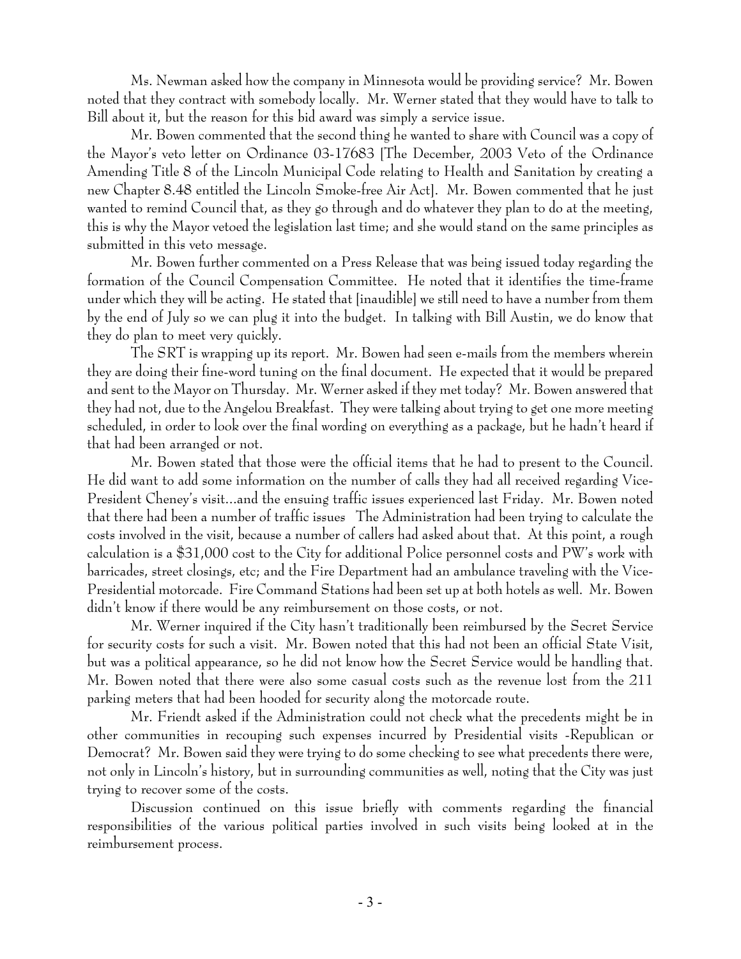Ms. Newman asked how the company in Minnesota would be providing service? Mr. Bowen noted that they contract with somebody locally. Mr. Werner stated that they would have to talk to Bill about it, but the reason for this bid award was simply a service issue.

Mr. Bowen commented that the second thing he wanted to share with Council was a copy of the Mayor's veto letter on Ordinance 03-17683 [The December, 2003 Veto of the Ordinance Amending Title 8 of the Lincoln Municipal Code relating to Health and Sanitation by creating a new Chapter 8.48 entitled the Lincoln Smoke-free Air Act]. Mr. Bowen commented that he just wanted to remind Council that, as they go through and do whatever they plan to do at the meeting, this is why the Mayor vetoed the legislation last time; and she would stand on the same principles as submitted in this veto message.

Mr. Bowen further commented on a Press Release that was being issued today regarding the formation of the Council Compensation Committee. He noted that it identifies the time-frame under which they will be acting. He stated that [inaudible] we still need to have a number from them by the end of July so we can plug it into the budget. In talking with Bill Austin, we do know that they do plan to meet very quickly.

The SRT is wrapping up its report. Mr. Bowen had seen e-mails from the members wherein they are doing their fine-word tuning on the final document. He expected that it would be prepared and sent to the Mayor on Thursday. Mr. Werner asked if they met today? Mr. Bowen answered that they had not, due to the Angelou Breakfast. They were talking about trying to get one more meeting scheduled, in order to look over the final wording on everything as a package, but he hadn't heard if that had been arranged or not.

Mr. Bowen stated that those were the official items that he had to present to the Council. He did want to add some information on the number of calls they had all received regarding Vice-President Cheney's visit...and the ensuing traffic issues experienced last Friday. Mr. Bowen noted that there had been a number of traffic issues The Administration had been trying to calculate the costs involved in the visit, because a number of callers had asked about that. At this point, a rough calculation is a \$31,000 cost to the City for additional Police personnel costs and PW's work with barricades, street closings, etc; and the Fire Department had an ambulance traveling with the Vice-Presidential motorcade. Fire Command Stations had been set up at both hotels as well. Mr. Bowen didn't know if there would be any reimbursement on those costs, or not.

Mr. Werner inquired if the City hasn't traditionally been reimbursed by the Secret Service for security costs for such a visit. Mr. Bowen noted that this had not been an official State Visit, but was a political appearance, so he did not know how the Secret Service would be handling that. Mr. Bowen noted that there were also some casual costs such as the revenue lost from the 211 parking meters that had been hooded for security along the motorcade route.

Mr. Friendt asked if the Administration could not check what the precedents might be in other communities in recouping such expenses incurred by Presidential visits -Republican or Democrat? Mr. Bowen said they were trying to do some checking to see what precedents there were, not only in Lincoln's history, but in surrounding communities as well, noting that the City was just trying to recover some of the costs.

Discussion continued on this issue briefly with comments regarding the financial responsibilities of the various political parties involved in such visits being looked at in the reimbursement process.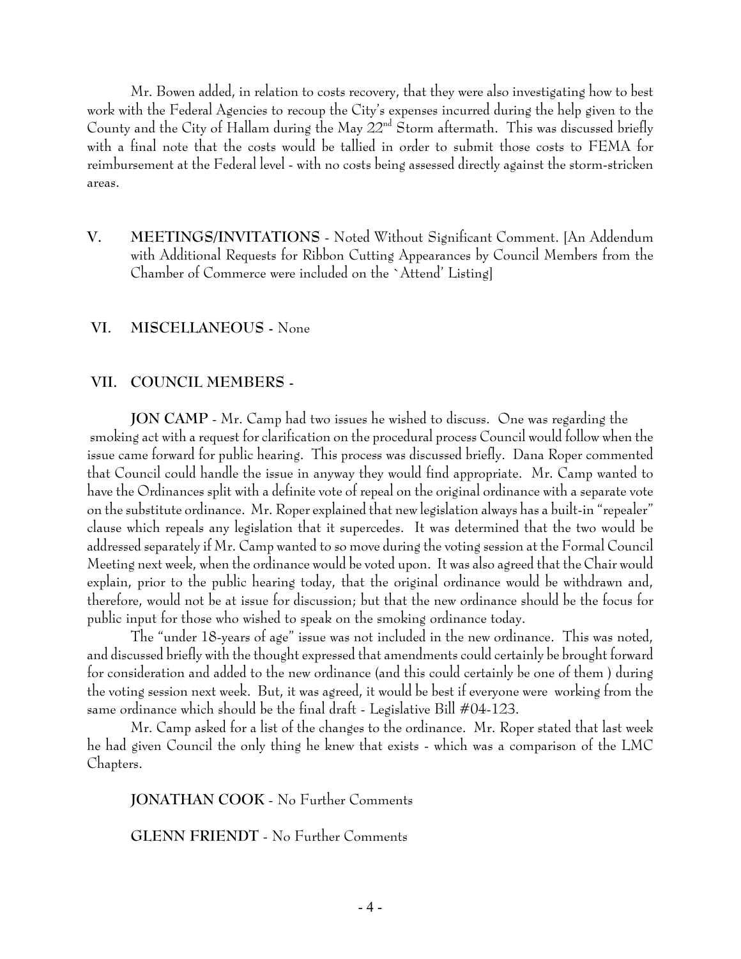Mr. Bowen added, in relation to costs recovery, that they were also investigating how to best work with the Federal Agencies to recoup the City's expenses incurred during the help given to the County and the City of Hallam during the May  $22<sup>nd</sup>$  Storm aftermath. This was discussed briefly with a final note that the costs would be tallied in order to submit those costs to FEMA for reimbursement at the Federal level - with no costs being assessed directly against the storm-stricken areas.

**V. MEETINGS/INVITATIONS** - Noted Without Significant Comment. [An Addendum with Additional Requests for Ribbon Cutting Appearances by Council Members from the Chamber of Commerce were included on the `Attend' Listing]

#### **VI. MISCELLANEOUS -** None

#### **VII. COUNCIL MEMBERS -**

JON CAMP - Mr. Camp had two issues he wished to discuss. One was regarding the smoking act with a request for clarification on the procedural process Council would follow when the issue came forward for public hearing. This process was discussed briefly. Dana Roper commented that Council could handle the issue in anyway they would find appropriate. Mr. Camp wanted to have the Ordinances split with a definite vote of repeal on the original ordinance with a separate vote on the substitute ordinance. Mr. Roper explained that new legislation always has a built-in "repealer" clause which repeals any legislation that it supercedes. It was determined that the two would be addressed separately if Mr. Camp wanted to so move during the voting session at the Formal Council Meeting next week, when the ordinance would be voted upon. It was also agreed that the Chair would explain, prior to the public hearing today, that the original ordinance would be withdrawn and, therefore, would not be at issue for discussion; but that the new ordinance should be the focus for public input for those who wished to speak on the smoking ordinance today.

The "under 18-years of age" issue was not included in the new ordinance. This was noted, and discussed briefly with the thought expressed that amendments could certainly be brought forward for consideration and added to the new ordinance (and this could certainly be one of them ) during the voting session next week. But, it was agreed, it would be best if everyone were working from the same ordinance which should be the final draft - Legislative Bill #04-123.

Mr. Camp asked for a list of the changes to the ordinance. Mr. Roper stated that last week he had given Council the only thing he knew that exists - which was a comparison of the LMC Chapters.

**JONATHAN COOK** - No Further Comments

**GLENN FRIENDT** - No Further Comments